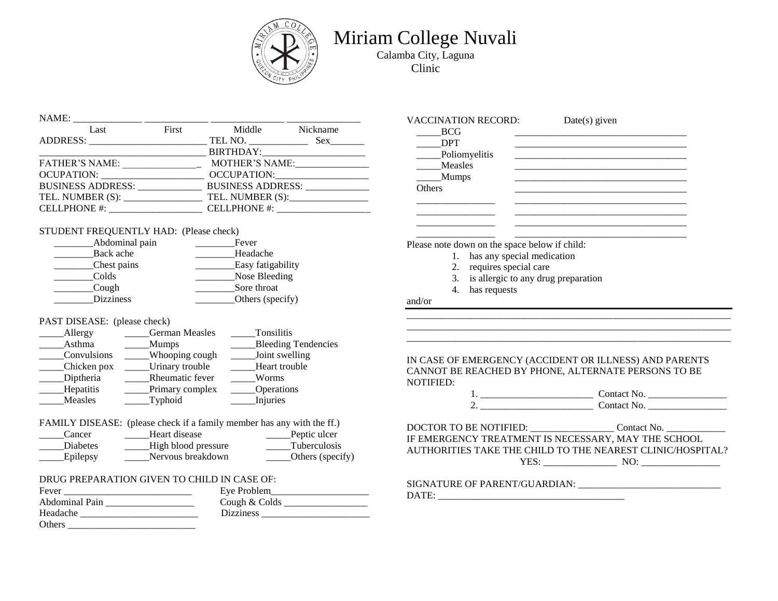

# Miriam College Nuvali

Calamba City, Laguna Clinic

### NAME: \_\_\_\_\_\_\_\_\_\_\_\_\_\_ \_\_\_\_\_\_\_\_\_\_\_\_\_ \_\_\_\_\_\_\_\_\_\_\_\_\_\_\_ \_\_\_\_\_\_\_\_\_\_\_\_\_\_\_

| Last                              | First | Middle            | Nickname       |
|-----------------------------------|-------|-------------------|----------------|
| ADDRESS: 2000                     |       | TEL NO.           | Sex            |
|                                   |       |                   |                |
| FATHER'S NAME:                    |       |                   | MOTHER'S NAME: |
|                                   |       |                   |                |
| <b>BUSINESS ADDRESS:</b>          |       | BUSINESS ADDRESS: |                |
| TEL. NUMBER (S): TEL. NUMBER (S): |       |                   |                |
| CELLPHONE #: CELLPHONE #:         |       |                   |                |

### STUDENT FREQUENTLY HAD: (Please check)

| Abdominal pain   | Fever             |
|------------------|-------------------|
| Back ache        | Headache          |
| Chest pains      | Easy fatigability |
| Colds            | Nose Bleeding     |
| Cough            | Sore throat       |
| <b>Dizziness</b> | Others (specify)  |

#### PAST DISEASE: (please check)

| <b>Allergy</b> | <b>German Measles</b> | Tonsilitis                 |
|----------------|-----------------------|----------------------------|
| Asthma         | <b>Mumps</b>          | <b>Bleeding Tendencies</b> |
| Convulsions    | Whooping cough        | Joint swelling             |
| Chicken pox    | Urinary trouble       | Heart trouble              |
| Diptheria      | Rheumatic fever       | Worms                      |
| Hepatitis      | Primary complex       | <b>Operations</b>          |
| Measles        | Typhoid               | Injuries                   |

|                 | FAMILY DISEASE: (please check if a family member has any with the ff.) |              |
|-----------------|------------------------------------------------------------------------|--------------|
| Cancer          | Heart disease                                                          | Peptic ulcer |
| <b>Diabetes</b> | High blood pressure                                                    | Tuberculosis |
|                 |                                                                        |              |

| _Epilepsy | Nervous breakdown | Others (specify) |
|-----------|-------------------|------------------|
|           |                   |                  |

#### DRUG PREPARATION GIVEN TO CHILD IN CASE OF:

| Fever          | Eye Problem      |
|----------------|------------------|
| Abdominal Pain | Cough $&$ Colds  |
| Headache       | <b>Dizziness</b> |
| Others         |                  |

| <b>VACCINATION RECORD:</b> | Date(s) given |
|----------------------------|---------------|
| <b>BCG</b>                 |               |
| <b>DPT</b>                 |               |
| Poliomyelitis              |               |
| Measles                    |               |
| <b>Mumps</b>               |               |
| Others                     |               |
|                            |               |
|                            |               |
|                            |               |

\_\_\_\_\_\_\_\_\_\_\_\_\_\_\_\_ \_\_\_\_\_\_\_\_\_\_\_\_\_\_\_\_\_\_\_\_\_\_\_\_\_\_\_\_\_\_\_\_\_\_\_ \_\_\_\_\_\_\_\_\_\_\_\_\_\_\_\_ \_\_\_\_\_\_\_\_\_\_\_\_\_\_\_\_\_\_\_\_\_\_\_\_\_\_\_\_\_\_\_\_\_\_\_

Please note down on the space below if child:

- 1. has any special medication
- 2. requires special care
- 3. is allergic to any drug preparation
- 4. has requests

#### and/or

### IN CASE OF EMERGENCY (ACCIDENT OR ILLNESS) AND PARENTS CANNOT BE REACHED BY PHONE, ALTERNATE PERSONS TO BE NOTIFIED:

\_\_\_\_\_\_\_\_\_\_\_\_\_\_\_\_\_\_\_\_\_\_\_\_\_\_\_\_\_\_\_\_\_\_\_\_\_\_\_\_\_\_\_\_\_\_\_\_\_\_\_\_\_\_\_\_\_\_\_\_\_\_\_\_\_\_ \_\_\_\_\_\_\_\_\_\_\_\_\_\_\_\_\_\_\_\_\_\_\_\_\_\_\_\_\_\_\_\_\_\_\_\_\_\_\_\_\_\_\_\_\_\_\_\_\_\_\_\_\_\_\_\_\_\_\_\_\_\_\_\_\_\_

|   | Contact |
|---|---------|
| ∽ | Contact |

DOCTOR TO BE NOTIFIED: \_\_\_\_\_\_\_\_\_\_\_\_\_\_\_\_\_\_\_ Contact No. \_\_\_\_\_\_\_\_\_\_\_\_\_\_\_\_\_\_\_\_\_\_\_\_\_\_ IF EMERGENCY TREATMENT IS NECESSARY, MAY THE SCHOOL AUTHORITIES TAKE THE CHILD TO THE NEAREST CLINIC/HOSPITAL? YES: \_\_\_\_\_\_\_\_\_\_\_\_\_\_\_ NO: \_\_\_\_\_\_\_\_\_\_\_\_\_\_\_\_

## SIGNATURE OF PARENT/GUARDIAN: \_\_\_\_\_\_\_\_\_\_\_\_\_\_\_\_\_\_\_\_\_\_\_\_\_\_\_\_\_ DATE: \_\_\_\_\_\_\_\_\_\_\_\_\_\_\_\_\_\_\_\_\_\_\_\_\_\_\_\_\_\_\_\_\_\_\_\_\_\_